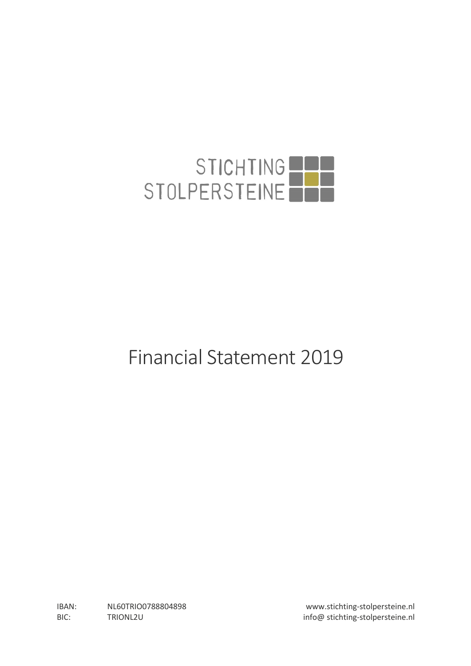

# Financial Statement 2019

IBAN: NL60TRIO0788804898 www.stichting-stolpersteine.nl BIC: TRIONL2U TRIONL2U info@ stichting-stolpersteine.nl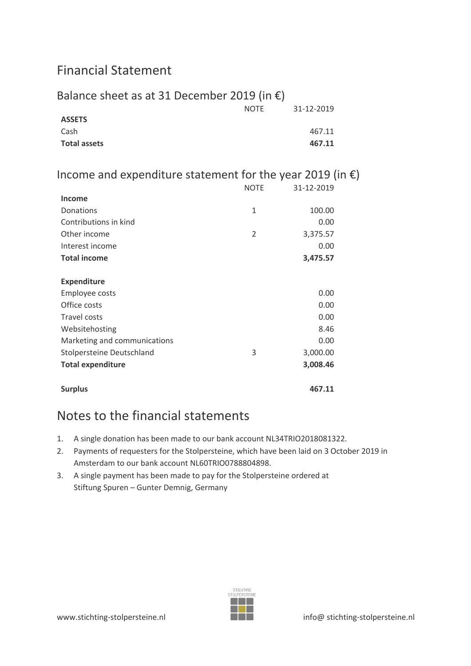# Financial Statement

#### Balance sheet as at 31 December 2019 (in  $\epsilon$ ) NOTE 31-12-2019 **ASSETS** Cash 467.11 **Total assets 467.11**

### Income and expenditure statement for the year 2019 (in  $\epsilon$ )

|                              | <b>NOTE</b>    | 31-12-2019 |
|------------------------------|----------------|------------|
| <b>Income</b>                |                |            |
| Donations                    | $\mathbf{1}$   | 100.00     |
| Contributions in kind        |                | 0.00       |
| Other income                 | $\overline{2}$ | 3,375.57   |
| Interest income              |                | 0.00       |
| <b>Total income</b>          |                | 3,475.57   |
|                              |                |            |
| <b>Expenditure</b>           |                |            |
| Employee costs               |                | 0.00       |
| Office costs                 |                | 0.00       |
| <b>Travel costs</b>          |                | 0.00       |
| Websitehosting               |                | 8.46       |
| Marketing and communications |                | 0.00       |
| Stolpersteine Deutschland    | 3              | 3,000.00   |
| <b>Total expenditure</b>     |                | 3,008.46   |
|                              |                |            |
| <b>Surplus</b>               |                | 467.11     |

## Notes to the financial statements

- 1. A single donation has been made to our bank account NL34TRIO2018081322.
- 2. Payments of requesters for the Stolpersteine, which have been laid on 3 October 2019 in Amsterdam to our bank account NL60TRIO0788804898.
- 3. A single payment has been made to pay for the Stolpersteine ordered at Stiftung Spuren – Gunter Demnig, Germany